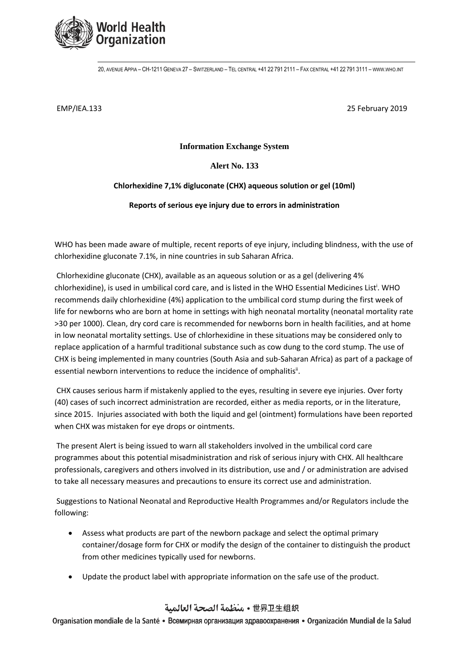

20, AVENUE APPIA – CH-1211 GENEVA 27 – SWITZERLAND – TEL CENTRAL +41 22 791 2111 – FAX CENTRAL +41 22 791 3111 – [WWW](http://www.who.int/).WHO.INT

EMP/IEA.133 25 February 2019

**Information Exchange System**

**Alert No. 133**

## **Chlorhexidine 7,1% digluconate (CHX) aqueous solution or gel (10ml)**

**Reports of serious eye injury due to errors in administration** 

WHO has been made aware of multiple, recent reports of eye injury, including blindness, with the use of chlorhexidine gluconate 7.1%, in nine countries in sub Saharan Africa.

Chlorhexidine gluconate (CHX), available as an aqueous solution or as a gel (delivering 4% chlorhexidine), is used in umbilical cord care, and is listed in the WHO Essential Medicines List<sup>i</sup>. WHO recommends daily chlorhexidine (4%) application to the umbilical cord stump during the first week of life for newborns who are born at home in settings with high neonatal mortality (neonatal mortality rate >30 per 1000). Clean, dry cord care is recommended for newborns born in health facilities, and at home in low neonatal mortality settings. Use of chlorhexidine in these situations may be considered only to replace application of a harmful traditional substance such as cow dung to the cord stump. The use of CHX is being implemented in many countries (South Asia and sub-Saharan Africa) as part of a package of essential newborn interventions to reduce the incidence of omphalitis<sup>ii</sup>.

CHX causes serious harm if mistakenly applied to the eyes, resulting in severe eye injuries. Over forty (40) cases of such incorrect administration are recorded, either as media reports, or in the literature, since 2015. Injuries associated with both the liquid and gel (ointment) formulations have been reported when CHX was mistaken for eye drops or ointments.

The present Alert is being issued to warn all stakeholders involved in the umbilical cord care programmes about this potential misadministration and risk of serious injury with CHX. All healthcare professionals, caregivers and others involved in its distribution, use and / or administration are advised to take all necessary measures and precautions to ensure its correct use and administration.

Suggestions to National Neonatal and Reproductive Health Programmes and/or Regulators include the following:

- Assess what products are part of the newborn package and select the optimal primary container/dosage form for CHX or modify the design of the container to distinguish the product from other medicines typically used for newborns.
- Update the product label with appropriate information on the safe use of the product.

## 世界卫生组织 • منظمة الصحة العالمية

Organisation mondiale de la Santé • Всемирная организация здравоохранения • Organización Mundial de la Salud